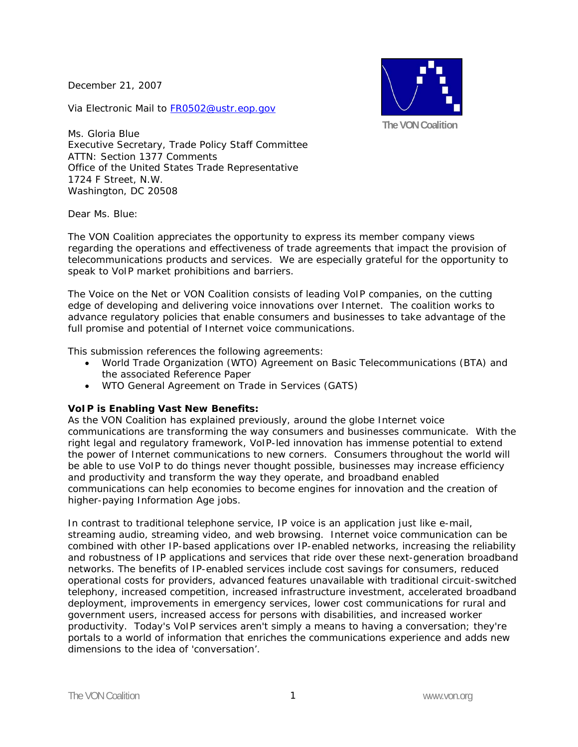December 21, 2007

Via Electronic Mail to FR0502@ustr.eop.gov



Ms. Gloria Blue Executive Secretary, Trade Policy Staff Committee ATTN: Section 1377 Comments Office of the United States Trade Representative 1724 F Street, N.W. Washington, DC 20508

Dear Ms. Blue:

The VON Coalition appreciates the opportunity to express its member company views regarding the operations and effectiveness of trade agreements that impact the provision of telecommunications products and services. We are especially grateful for the opportunity to speak to VoIP market prohibitions and barriers.

The Voice on the Net or VON Coalition consists of leading VoIP companies, on the cutting edge of developing and delivering voice innovations over Internet. The coalition works to advance regulatory policies that enable consumers and businesses to take advantage of the full promise and potential of Internet voice communications.

This submission references the following agreements:

- World Trade Organization (WTO) Agreement on Basic Telecommunications (BTA) and the associated Reference Paper
- WTO General Agreement on Trade in Services (GATS)

### **VoIP is Enabling Vast New Benefits:**

As the VON Coalition has explained previously, around the globe Internet voice communications are transforming the way consumers and businesses communicate. With the right legal and regulatory framework, VoIP-led innovation has immense potential to extend the power of Internet communications to new corners. Consumers throughout the world will be able to use VoIP to do things never thought possible, businesses may increase efficiency and productivity and transform the way they operate, and broadband enabled communications can help economies to become engines for innovation and the creation of higher-paying Information Age jobs.

In contrast to traditional telephone service, IP voice is an application just like e-mail, streaming audio, streaming video, and web browsing. Internet voice communication can be combined with other IP-based applications over IP-enabled networks, increasing the reliability and robustness of IP applications and services that ride over these next-generation broadband networks. The benefits of IP-enabled services include cost savings for consumers, reduced operational costs for providers, advanced features unavailable with traditional circuit-switched telephony, increased competition, increased infrastructure investment, accelerated broadband deployment, improvements in emergency services, lower cost communications for rural and government users, increased access for persons with disabilities, and increased worker productivity. Today's VoIP services aren't simply a means to having a conversation; they're portals to a world of information that enriches the communications experience and adds new dimensions to the idea of 'conversation'.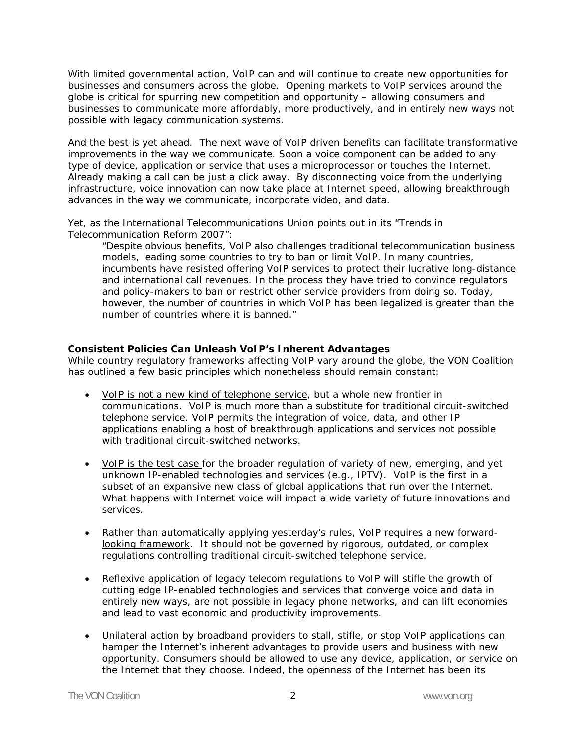With limited governmental action, VoIP can and will continue to create new opportunities for businesses and consumers across the globe. Opening markets to VoIP services around the globe is critical for spurring new competition and opportunity – allowing consumers and businesses to communicate more affordably, more productively, and in entirely new ways not possible with legacy communication systems.

And the best is yet ahead. The next wave of VoIP driven benefits can facilitate transformative improvements in the way we communicate. Soon a voice component can be added to any type of device, application or service that uses a microprocessor or touches the Internet. Already making a call can be just a click away. By disconnecting voice from the underlying infrastructure, voice innovation can now take place at Internet speed, allowing breakthrough advances in the way we communicate, incorporate video, and data.

Yet, as the International Telecommunications Union points out in its "Trends in Telecommunication Reform 2007":

*"Despite obvious benefits, VoIP also challenges traditional telecommunication business models, leading some countries to try to ban or limit VoIP. In many countries, incumbents have resisted offering VoIP services to protect their lucrative long-distance and international call revenues. In the process they have tried to convince regulators and policy-makers to ban or restrict other service providers from doing so. Today, however, the number of countries in which VoIP has been legalized is greater than the number of countries where it is banned."* 

## **Consistent Policies Can Unleash VoIP's Inherent Advantages**

While country regulatory frameworks affecting VoIP vary around the globe, the VON Coalition has outlined a few basic principles which nonetheless should remain constant:

- VoIP is not a new kind of telephone service, but a whole new frontier in communications. VoIP is much more than a substitute for traditional circuit-switched telephone service. VoIP permits the integration of voice, data, and other IP applications enabling a host of breakthrough applications and services not possible with traditional circuit-switched networks.
- VoIP is the test case for the broader regulation of variety of new, emerging, and yet unknown IP-enabled technologies and services (e.g., IPTV). VoIP is the first in a subset of an expansive new class of global applications that run over the Internet. What happens with Internet voice will impact a wide variety of future innovations and services.
- Rather than automatically applying yesterday's rules, VoIP requires a new forwardlooking framework. It should not be governed by rigorous, outdated, or complex regulations controlling traditional circuit-switched telephone service.
- Reflexive application of legacy telecom regulations to VoIP will stifle the growth of cutting edge IP-enabled technologies and services that converge voice and data in entirely new ways, are not possible in legacy phone networks, and can lift economies and lead to vast economic and productivity improvements.
- Unilateral action by broadband providers to stall, stifle, or stop VoIP applications can hamper the Internet's inherent advantages to provide users and business with new opportunity. Consumers should be allowed to use any device, application, or service on the Internet that they choose. Indeed, the openness of the Internet has been its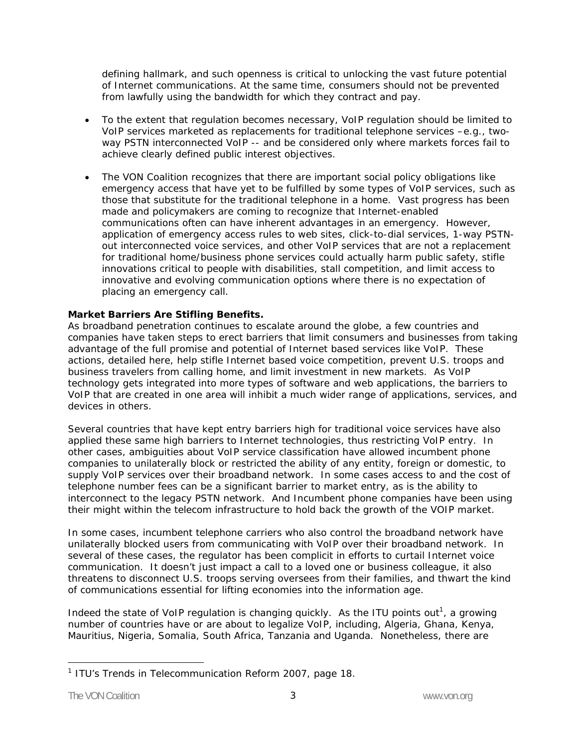defining hallmark, and such openness is critical to unlocking the vast future potential of Internet communications. At the same time, consumers should not be prevented from lawfully using the bandwidth for which they contract and pay.

- To the extent that regulation becomes necessary, VoIP regulation should be limited to VoIP services marketed as replacements for traditional telephone services –*e.g.*, twoway PSTN interconnected VoIP -- and be considered only where markets forces fail to achieve clearly defined public interest objectives.
- The VON Coalition recognizes that there are important social policy obligations like emergency access that have yet to be fulfilled by some types of VoIP services, such as those that substitute for the traditional telephone in a home. Vast progress has been made and policymakers are coming to recognize that Internet-enabled communications often can have inherent advantages in an emergency. However, application of emergency access rules to web sites, click-to-dial services, 1-way PSTNout interconnected voice services, and other VoIP services that are not a replacement for traditional home/business phone services could actually harm public safety, stifle innovations critical to people with disabilities, stall competition, and limit access to innovative and evolving communication options where there is no expectation of placing an emergency call.

## **Market Barriers Are Stifling Benefits.**

As broadband penetration continues to escalate around the globe, a few countries and companies have taken steps to erect barriers that limit consumers and businesses from taking advantage of the full promise and potential of Internet based services like VoIP. These actions, detailed here, help stifle Internet based voice competition, prevent U.S. troops and business travelers from calling home, and limit investment in new markets. As VoIP technology gets integrated into more types of software and web applications, the barriers to VoIP that are created in one area will inhibit a much wider range of applications, services, and devices in others.

Several countries that have kept entry barriers high for traditional voice services have also applied these same high barriers to Internet technologies, thus restricting VoIP entry. In other cases, ambiguities about VoIP service classification have allowed incumbent phone companies to unilaterally block or restricted the ability of any entity, foreign or domestic, to supply VoIP services over their broadband network. In some cases access to and the cost of telephone number fees can be a significant barrier to market entry, as is the ability to interconnect to the legacy PSTN network. And Incumbent phone companies have been using their might within the telecom infrastructure to hold back the growth of the VOIP market.

In some cases, incumbent telephone carriers who also control the broadband network have unilaterally blocked users from communicating with VoIP over their broadband network. In several of these cases, the regulator has been complicit in efforts to curtail Internet voice communication. It doesn't just impact a call to a loved one or business colleague, it also threatens to disconnect U.S. troops serving oversees from their families, and thwart the kind of communications essential for lifting economies into the information age.

Indeed the state of VoIP regulation is changing quickly. As the ITU points out<sup>1</sup>, a growing number of countries have or are about to legalize VoIP, including, Algeria, Ghana, Kenya, Mauritius, Nigeria, Somalia, South Africa, Tanzania and Uganda. Nonetheless, there are

<sup>-</sup><sup>1</sup> ITU's Trends in Telecommunication Reform 2007, page 18.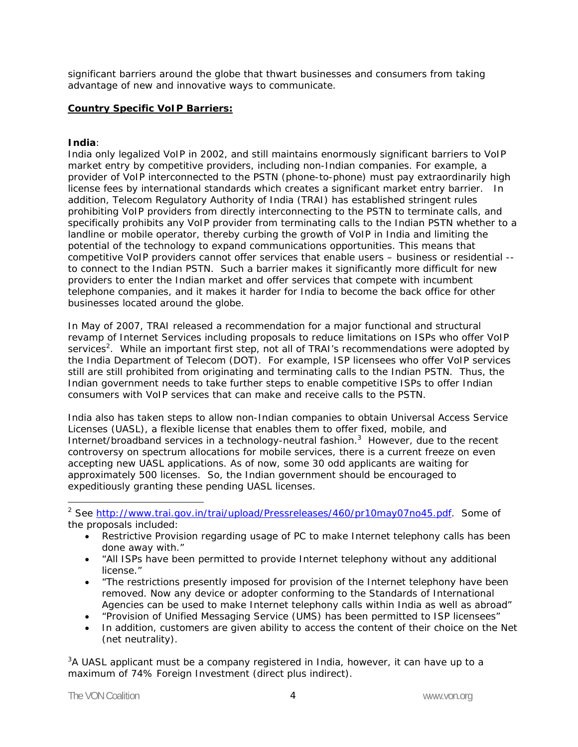significant barriers around the globe that thwart businesses and consumers from taking advantage of new and innovative ways to communicate.

## **Country Specific VoIP Barriers:**

#### **India**:

India only legalized VoIP in 2002, and still maintains enormously significant barriers to VoIP market entry by competitive providers, including non-Indian companies. For example, a provider of VoIP interconnected to the PSTN (phone-to-phone) must pay extraordinarily high license fees by international standards which creates a significant market entry barrier. In addition, Telecom Regulatory Authority of India (TRAI) has established stringent rules prohibiting VoIP providers from directly interconnecting to the PSTN to terminate calls, and specifically prohibits any VoIP provider from terminating calls to the Indian PSTN whether to a landline or mobile operator, thereby curbing the growth of VoIP in India and limiting the potential of the technology to expand communications opportunities. This means that competitive VoIP providers cannot offer services that enable users – business or residential - to connect to the Indian PSTN. Such a barrier makes it significantly more difficult for new providers to enter the Indian market and offer services that compete with incumbent telephone companies, and it makes it harder for India to become the back office for other businesses located around the globe.

In May of 2007, TRAI released a recommendation for a major functional and structural revamp of Internet Services including proposals to reduce limitations on ISPs who offer VoIP services<sup>2</sup>. While an important first step, not all of TRAI's recommendations were adopted by the India Department of Telecom (DOT). For example, ISP licensees who offer VoIP services still are still prohibited from originating and terminating calls to the Indian PSTN. Thus, the Indian government needs to take further steps to enable competitive ISPs to offer Indian consumers with VoIP services that can make and receive calls to the PSTN.

India also has taken steps to allow non-Indian companies to obtain Universal Access Service Licenses (UASL), a flexible license that enables them to offer fixed, mobile, and Internet/broadband services in a technology-neutral fashion. $3$  However, due to the recent controversy on spectrum allocations for mobile services, there is a current freeze on even accepting new UASL applications. As of now, some 30 odd applicants are waiting for approximately 500 licenses. So, the Indian government should be encouraged to expeditiously granting these pending UASL licenses.

<sup>2</sup> See http://www.trai.gov.in/trai/upload/Pressreleases/460/pr10may07no45.pdf. Some of the proposals included:

- Restrictive Provision regarding usage of PC to make Internet telephony calls has been done away with."
- "All ISPs have been permitted to provide Internet telephony without any additional license."
- "The restrictions presently imposed for provision of the Internet telephony have been removed. Now any device or adopter conforming to the Standards of International Agencies can be used to make Internet telephony calls within India as well as abroad"
- "Provision of Unified Messaging Service (UMS) has been permitted to ISP licensees"
- In addition, customers are given ability to access the content of their choice on the Net (net neutrality).

 $3A$  UASL applicant must be a company registered in India, however, it can have up to a maximum of 74% Foreign Investment (direct plus indirect).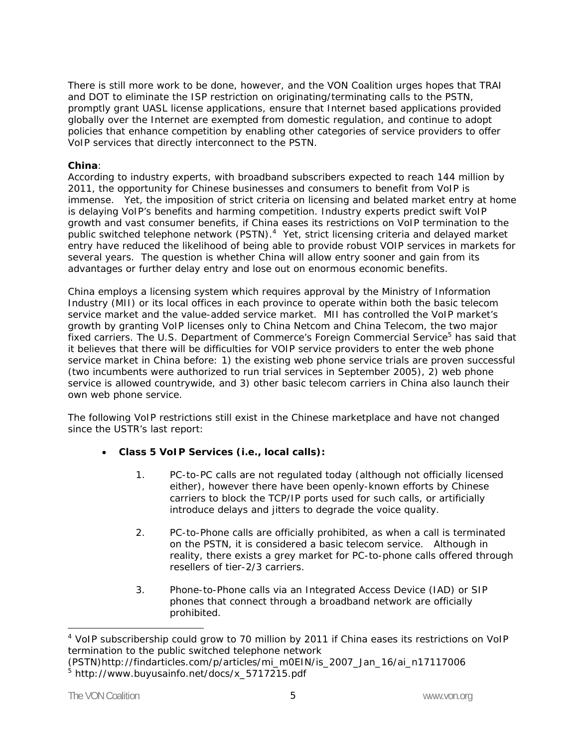There is still more work to be done, however, and the VON Coalition urges hopes that TRAI and DOT to eliminate the ISP restriction on originating/terminating calls to the PSTN, promptly grant UASL license applications, ensure that Internet based applications provided globally over the Internet are exempted from domestic regulation, and continue to adopt policies that enhance competition by enabling other categories of service providers to offer VoIP services that directly interconnect to the PSTN.

## **China**:

According to industry experts, with broadband subscribers expected to reach 144 million by 2011, the opportunity for Chinese businesses and consumers to benefit from VoIP is immense. Yet, the imposition of strict criteria on licensing and belated market entry at home is delaying VoIP's benefits and harming competition. Industry experts predict swift VoIP growth and vast consumer benefits, if China eases its restrictions on VoIP termination to the public switched telephone network (PSTN).<sup>4</sup> Yet, strict licensing criteria and delayed market entry have reduced the likelihood of being able to provide robust VOIP services in markets for several years. The question is whether China will allow entry sooner and gain from its advantages or further delay entry and lose out on enormous economic benefits.

China employs a licensing system which requires approval by the Ministry of Information Industry (MII) or its local offices in each province to operate within both the basic telecom service market and the value-added service market. MII has controlled the VoIP market's growth by granting VoIP licenses only to China Netcom and China Telecom, the two major fixed carriers. The U.S. Department of Commerce's Foreign Commercial Service<sup>5</sup> has said that it believes that there will be difficulties for VOIP service providers to enter the web phone service market in China before: 1) the existing web phone service trials are proven successful (two incumbents were authorized to run trial services in September 2005), 2) web phone service is allowed countrywide, and 3) other basic telecom carriers in China also launch their own web phone service.

The following VoIP restrictions still exist in the Chinese marketplace and have not changed since the USTR's last report:

- **Class 5 VoIP Services (***i.e.,* **local calls):** 
	- 1. PC-to-PC calls are not regulated today (although not officially licensed either), however there have been openly-known efforts by Chinese carriers to block the TCP/IP ports used for such calls, or artificially introduce delays and jitters to degrade the voice quality.
	- 2. PC-to-Phone calls are officially prohibited, as when a call is terminated on the PSTN, it is considered a basic telecom service. Although in reality, there exists a grey market for PC-to-phone calls offered through resellers of tier-2/3 carriers.
	- 3. Phone-to-Phone calls via an Integrated Access Device (IAD) or SIP phones that connect through a broadband network are officially prohibited.

 $\overline{a}$ 

<sup>&</sup>lt;sup>4</sup> VoIP subscribership could grow to 70 million by 2011 if China eases its restrictions on VoIP termination to the public switched telephone network

<sup>(</sup>PSTN)http://findarticles.com/p/articles/mi\_m0EIN/is\_2007\_Jan\_16/ai\_n17117006 5 http://www.buyusainfo.net/docs/x\_5717215.pdf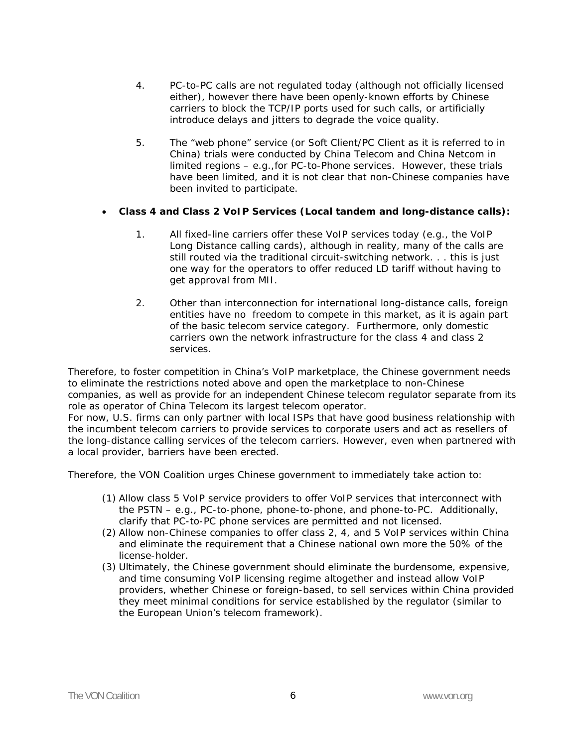- 4. PC-to-PC calls are not regulated today (although not officially licensed either), however there have been openly-known efforts by Chinese carriers to block the TCP/IP ports used for such calls, or artificially introduce delays and jitters to degrade the voice quality.
- 5. The "web phone" service (or Soft Client/PC Client as it is referred to in China) trials were conducted by China Telecom and China Netcom in limited regions – *e.g*.,for PC-to-Phone services. However, these trials have been limited, and it is not clear that non-Chinese companies have been invited to participate.

## • **Class 4 and Class 2 VoIP Services (Local tandem and long-distance calls):**

- 1. All fixed-line carriers offer these VoIP services today (*e.g*., the VoIP Long Distance calling cards), although in reality, many of the calls are still routed via the traditional circuit-switching network. . . this is just one way for the operators to offer reduced LD tariff without having to get approval from MII.
- 2. Other than interconnection for international long-distance calls, foreign entities have no freedom to compete in this market, as it is again part of the basic telecom service category. Furthermore, only domestic carriers own the network infrastructure for the class 4 and class 2 services.

Therefore, to foster competition in China's VoIP marketplace, the Chinese government needs to eliminate the restrictions noted above and open the marketplace to non-Chinese companies, as well as provide for an independent Chinese telecom regulator separate from its role as operator of China Telecom its largest telecom operator.

For now, U.S. firms can only partner with local ISPs that have good business relationship with the incumbent telecom carriers to provide services to corporate users and act as resellers of the long-distance calling services of the telecom carriers. However, even when partnered with a local provider, barriers have been erected.

Therefore, the VON Coalition urges Chinese government to immediately take action to:

- (1) Allow class 5 VoIP service providers to offer VoIP services that interconnect with the PSTN – *e.g*., PC-to-phone, phone-to-phone, and phone-to-PC. Additionally, clarify that PC-to-PC phone services are permitted and not licensed.
- (2) Allow non-Chinese companies to offer class 2, 4, and 5 VoIP services within China and eliminate the requirement that a Chinese national own more the 50% of the license-holder.
- (3) Ultimately, the Chinese government should eliminate the burdensome, expensive, and time consuming VoIP licensing regime altogether and instead allow VoIP providers, whether Chinese or foreign-based, to sell services within China provided they meet minimal conditions for service established by the regulator (similar to the European Union's telecom framework).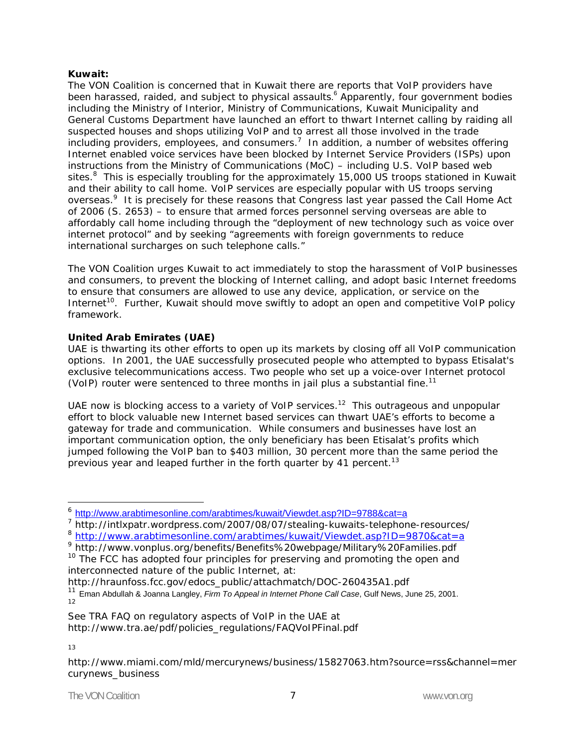### **Kuwait:**

The VON Coalition is concerned that in Kuwait there are reports that VoIP providers have been harassed, raided, and subject to physical assaults.<sup>6</sup> Apparently, four government bodies including the Ministry of Interior, Ministry of Communications, Kuwait Municipality and General Customs Department have launched an effort to thwart Internet calling by raiding all suspected houses and shops utilizing VoIP and to arrest all those involved in the trade including providers, employees, and consumers.<sup>7</sup> In addition, a number of websites offering Internet enabled voice services have been blocked by Internet Service Providers (ISPs) upon instructions from the Ministry of Communications (MoC) – including U.S. VoIP based web sites.<sup>8</sup> This is especially troubling for the approximately 15,000 US troops stationed in Kuwait and their ability to call home. VoIP services are especially popular with US troops serving overseas.<sup>9</sup> It is precisely for these reasons that Congress last year passed the Call Home Act of 2006 (S. 2653) – to ensure that armed forces personnel serving overseas are able to affordably call home including through the "deployment of new technology such as voice over internet protocol" and by seeking "agreements with foreign governments to reduce international surcharges on such telephone calls."

The VON Coalition urges Kuwait to act immediately to stop the harassment of VoIP businesses and consumers, to prevent the blocking of Internet calling, and adopt basic Internet freedoms to ensure that consumers are allowed to use any device, application, or service on the Internet<sup>10</sup>. Further, Kuwait should move swiftly to adopt an open and competitive VoIP policy framework.

# **United Arab Emirates (UAE)**

UAE is thwarting its other efforts to open up its markets by closing off all VoIP communication options. In 2001, the UAE successfully prosecuted people who attempted to bypass Etisalat's exclusive telecommunications access. Two people who set up a voice-over Internet protocol (VoIP) router were sentenced to three months in jail plus a substantial fine.11

UAE now is blocking access to a variety of VoIP services.<sup>12</sup> This outrageous and unpopular effort to block valuable new Internet based services can thwart UAE's efforts to become a gateway for trade and communication. While consumers and businesses have lost an important communication option, the only beneficiary has been Etisalat's profits which jumped following the VoIP ban to \$403 million, 30 percent more than the same period the previous year and leaped further in the forth quarter by 41 percent.<sup>13</sup>

http://hraunfoss.fcc.gov/edocs\_public/attachmatch/DOC-260435A1.pdf

<sup>6</sup> http://www.arabtimesonline.com/arabtimes/kuwait/Viewdet.asp?ID=9788&cat=a

<sup>&</sup>lt;sup>7</sup> http://intlxpatr.wordpress.com/2007/08/07/stealing-kuwaits-telephone-resources/ 8 http://www.arabtimesonline.com/arabtimes/kuwait/Viewdet.asp?ID=9870&cat=a

<sup>&</sup>lt;sup>9</sup> http://www.vonplus.org/benefits/Benefits%20webpage/Military%20Families.pdf  $10$  The FCC has adopted four principles for preserving and promoting the open and interconnected nature of the public Internet, at:

<sup>11</sup> Eman Abdullah & Joanna Langley, *Firm To Appeal in Internet Phone Call Case*, Gulf News, June 25, 2001. 12

See TRA FAQ on regulatory aspects of VoIP in the UAE at http://www.tra.ae/pdf/policies\_regulations/FAQVoIPFinal.pdf

<sup>13</sup>

http://www.miami.com/mld/mercurynews/business/15827063.htm?source=rss&channel=mer curynews\_business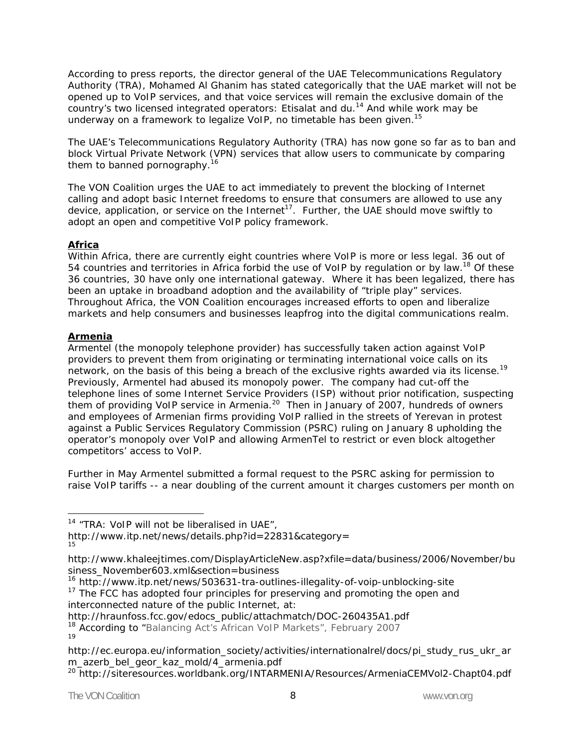According to press reports, the director general of the UAE Telecommunications Regulatory Authority (TRA), Mohamed Al Ghanim has stated categorically that the UAE market will not be opened up to VoIP services, and that voice services will remain the exclusive domain of the country's two licensed integrated operators: Etisalat and du.<sup>14</sup> And while work may be underway on a framework to legalize VoIP, no timetable has been given.<sup>15</sup>

The UAE's Telecommunications Regulatory Authority (TRA) has now gone so far as to ban and block Virtual Private Network (VPN) services that allow users to communicate by comparing them to banned pornography.<sup>16</sup>

The VON Coalition urges the UAE to act immediately to prevent the blocking of Internet calling and adopt basic Internet freedoms to ensure that consumers are allowed to use any device, application, or service on the Internet<sup>17</sup>. Further, the UAE should move swiftly to adopt an open and competitive VoIP policy framework.

## **Africa**

Within Africa, there are currently eight countries where VoIP is more or less legal. 36 out of 54 countries and territories in Africa forbid the use of VoIP by regulation or by law.<sup>18</sup> Of these 36 countries, 30 have only one international gateway. Where it has been legalized, there has been an uptake in broadband adoption and the availability of "triple play" services. Throughout Africa, the VON Coalition encourages increased efforts to open and liberalize markets and help consumers and businesses leapfrog into the digital communications realm.

## **Armenia**

-

Armentel (the monopoly telephone provider) has successfully taken action against VoIP providers to prevent them from originating or terminating international voice calls on its network, on the basis of this being a breach of the exclusive rights awarded via its license.<sup>19</sup> Previously, Armentel had abused its monopoly power. The company had cut-off the telephone lines of some Internet Service Providers (ISP) without prior notification, suspecting them of providing VoIP service in Armenia.<sup>20</sup> Then in January of 2007, hundreds of owners and employees of Armenian firms providing VoIP rallied in the streets of Yerevan in protest against a Public Services Regulatory Commission (PSRC) ruling on January 8 upholding the operator's monopoly over VoIP and allowing ArmenTel to restrict or even block altogether competitors' access to VoIP.

Further in May Armentel submitted a formal request to the PSRC asking for permission to raise VoIP tariffs -- a near doubling of the current amount it charges customers per month on

http://hraunfoss.fcc.gov/edocs\_public/attachmatch/DOC-260435A1.pdf

 $14$  "TRA: VoIP will not be liberalised in UAE",

http://www.itp.net/news/details.php?id=22831&category= 15

http://www.khaleejtimes.com/DisplayArticleNew.asp?xfile=data/business/2006/November/bu siness\_November603.xml&section=business

<sup>&</sup>lt;sup>16</sup> http://www.itp.net/news/503631-tra-outlines-illegality-of-voip-unblocking-site

 $17$  The FCC has adopted four principles for preserving and promoting the open and interconnected nature of the public Internet, at:

<sup>&</sup>lt;sup>18</sup> According to "Balancing Act's African VoIP Markets", February 2007 19

http://ec.europa.eu/information\_society/activities/internationalrel/docs/pi\_study\_rus\_ukr\_ar m\_azerb\_bel\_geor\_kaz\_mold/4\_armenia.pdf

<sup>&</sup>lt;sup>20</sup> http://siteresources.worldbank.org/INTARMENIA/Resources/ArmeniaCEMVol2-Chapt04.pdf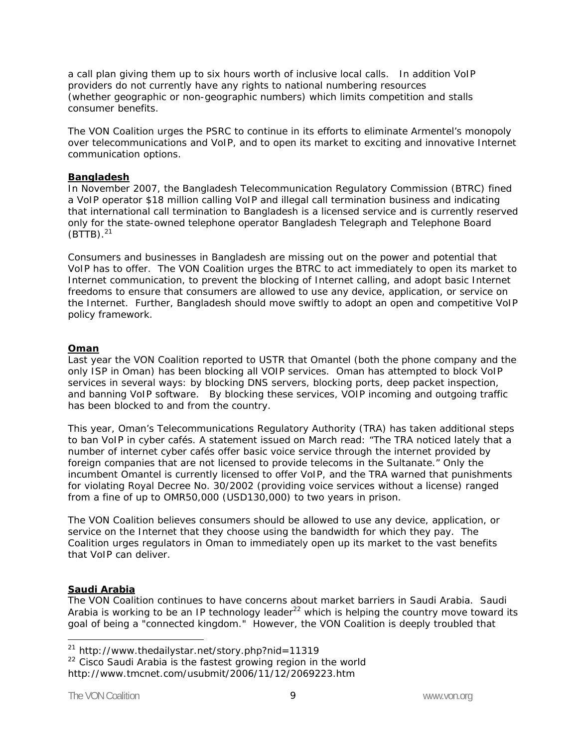a call plan giving them up to six hours worth of inclusive local calls. In addition VoIP providers do not currently have any rights to national numbering resources (whether geographic or non-geographic numbers) which limits competition and stalls consumer benefits.

The VON Coalition urges the PSRC to continue in its efforts to eliminate Armentel's monopoly over telecommunications and VoIP, and to open its market to exciting and innovative Internet communication options.

### **Bangladesh**

In November 2007, the Bangladesh Telecommunication Regulatory Commission (BTRC) fined a VoIP operator \$18 million calling VoIP and illegal call termination business and indicating that international call termination to Bangladesh is a licensed service and is currently reserved only for the state-owned telephone operator Bangladesh Telegraph and Telephone Board  $(BTTB).<sup>21</sup>$ 

Consumers and businesses in Bangladesh are missing out on the power and potential that VoIP has to offer. The VON Coalition urges the BTRC to act immediately to open its market to Internet communication, to prevent the blocking of Internet calling, and adopt basic Internet freedoms to ensure that consumers are allowed to use any device, application, or service on the Internet. Further, Bangladesh should move swiftly to adopt an open and competitive VoIP policy framework.

### **Oman**

Last year the VON Coalition reported to USTR that Omantel (both the phone company and the only ISP in Oman) has been blocking all VOIP services. Oman has attempted to block VoIP services in several ways: by blocking DNS servers, blocking ports, deep packet inspection, and banning VoIP software. By blocking these services, VOIP incoming and outgoing traffic has been blocked to and from the country.

This year, Oman's Telecommunications Regulatory Authority (TRA) has taken additional steps to ban VoIP in cyber cafés. A statement issued on March read: "The TRA noticed lately that a number of internet cyber cafés offer basic voice service through the internet provided by foreign companies that are not licensed to provide telecoms in the Sultanate." Only the incumbent Omantel is currently licensed to offer VoIP, and the TRA warned that punishments for violating Royal Decree No. 30/2002 (providing voice services without a license) ranged from a fine of up to OMR50,000 (USD130,000) to two years in prison.

The VON Coalition believes consumers should be allowed to use any device, application, or service on the Internet that they choose using the bandwidth for which they pay. The Coalition urges regulators in Oman to immediately open up its market to the vast benefits that VoIP can deliver.

### **Saudi Arabia**

The VON Coalition continues to have concerns about market barriers in Saudi Arabia. Saudi Arabia is working to be an IP technology leader $^{22}$  which is helping the country move toward its goal of being a "connected kingdom." However, the VON Coalition is deeply troubled that

<sup>21</sup> http://www.thedailystar.net/story.php?nid=11319

 $22$  Cisco Saudi Arabia is the fastest growing region in the world http://www.tmcnet.com/usubmit/2006/11/12/2069223.htm